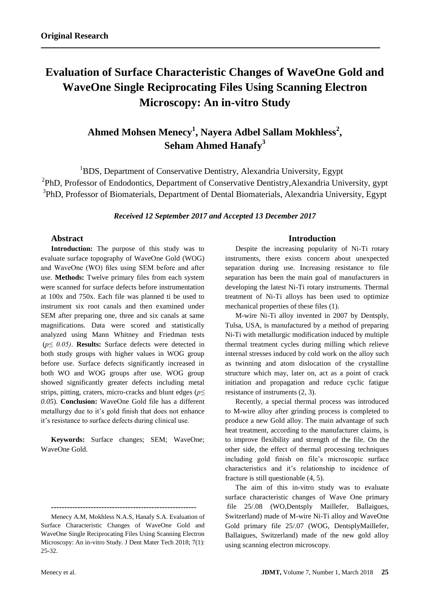# **Evaluation of Surface Characteristic Changes of WaveOne Gold and WaveOne Single Reciprocating Files Using Scanning Electron Microscopy: An in-vitro Study**

# **Ahmed Mohsen Menecy<sup>1</sup> , Nayera Adbel Sallam Mokhless<sup>2</sup> , Seham Ahmed Hanafy<sup>3</sup>**

<sup>1</sup>BDS, Department of Conservative Dentistry, Alexandria University, Egypt <sup>2</sup>PhD, Professor of Endodontics, Department of Conservative Dentistry, Alexandria University, gypt <sup>3</sup>PhD, Professor of Biomaterials, Department of Dental Biomaterials, Alexandria University, Egypt

*Received 12 September 2017 and Accepted 13 December 2017*

#### **Abstract**

**Introduction:** The purpose of this study was to evaluate surface topography of WaveOne Gold (WOG) and WaveOne (WO) files using SEM before and after use. **Methods:** Twelve primary files from each system were scanned for surface defects before instrumentation at 100x and 750x. Each file was planned ti be used to instrument six root canals and then examined under SEM after preparing one, three and six canals at same magnifications. Data were scored and statistically analyzed using Mann Whitney and Friedman tests (*p≤ 0.05)*. **Results:** Surface defects were detected in both study groups with higher values in WOG group before use. Surface defects significantly increased in both WO and WOG groups after use. WOG group showed significantly greater defects including metal strips, pitting, craters, micro-cracks and blunt edges (*p≤ 0.05*). **Conclusion:** WaveOne Gold file has a different metallurgy due to it's gold finish that does not enhance it's resistance to surface defects during clinical use.

**Keywords:** Surface changes; SEM; WaveOne; WaveOne Gold.

### **Introduction**

Despite the increasing popularity of Ni-Ti rotary instruments, there exists concern about unexpected separation during use. Increasing resistance to file separation has been the main goal of manufacturers in developing the latest Ni-Ti rotary instruments. Thermal treatment of Ni-Ti alloys has been used to optimize mechanical properties of these files (1).

M-wire Ni-Ti alloy invented in 2007 by Dentsply, Tulsa, USA, is manufactured by a method of preparing Ni-Ti with metallurgic modification induced by multiple thermal treatment cycles during milling which relieve internal stresses induced by cold work on the alloy such as twinning and atom dislocation of the crystalline structure which may, later on, act as a point of crack initiation and propagation and reduce cyclic fatigue resistance of instruments (2, 3).

Recently, a special thermal process was introduced to M-wire alloy after grinding process is completed to produce a new Gold alloy. The main advantage of such heat treatment, according to the manufacturer claims, is to improve flexibility and strength of the file. On the other side, the effect of thermal processing techniques including gold finish on file's microscopic surface characteristics and it's relationship to incidence of fracture is still questionable (4, 5).

The aim of this in-vitro study was to evaluate surface characteristic changes of Wave One primary file 25/.08 (WO,Dentsply Maillefer, Ballaigues, Switzerland) made of M-wire Ni-Ti alloy and WaveOne Gold primary file 25/.07 (WOG, DentsplyMaillefer, Ballaigues, Switzerland) made of the new gold alloy using scanning electron microscopy.

**<sup>-------------------------------------------------------</sup>**

Menecy A.M, Mokhless N.A.S, Hanafy S.A. Evaluation of Surface Characteristic Changes of WaveOne Gold and WaveOne Single Reciprocating Files Using Scanning Electron Microscopy: An in-vitro Study. J Dent Mater Tech 2018; 7(1): 25-32.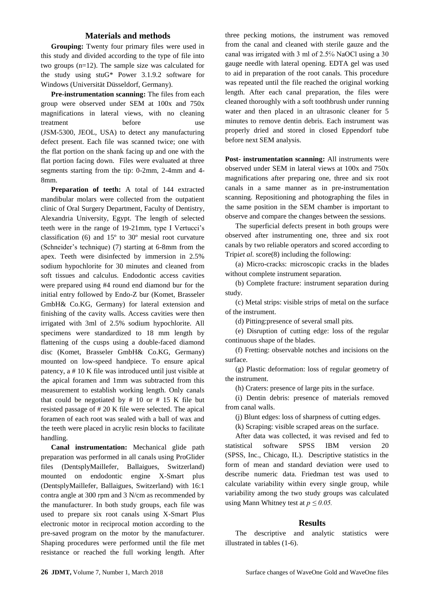#### **Materials and methods**

**Grouping:** Twenty four primary files were used in this study and divided according to the type of file into two groups (n=12). The sample size was calculated for the study using stuG\* Power [3.1.9.2 software for](http://www.gpower.hhu.de/fileadmin/redaktion/Fakultaeten/Mathematisch-Naturwissenschaftliche_Fakultaet/Psychologie/AAP/gpower/GPowerWin_3.1.9.2.zip)  [Windows](http://www.gpower.hhu.de/fileadmin/redaktion/Fakultaeten/Mathematisch-Naturwissenschaftliche_Fakultaet/Psychologie/AAP/gpower/GPowerWin_3.1.9.2.zip) [\(Universität Düsseldorf,](http://www.gpower.hhu.de/en.html) Germany).

**Pre-instrumentation scanning:** The files from each group were observed under SEM at 100x and 750x magnifications in lateral views, with no cleaning treatment before use (JSM-5300, JEOL, USA) to detect any manufacturing defect present. Each file was scanned twice; one with the flat portion on the shank facing up and one with the flat portion facing down. Files were evaluated at three segments starting from the tip: 0-2mm, 2-4mm and 4- 8mm.

**Preparation of teeth:** A total of 144 extracted mandibular molars were collected from the outpatient clinic of Oral Surgery Department, Faculty of Dentistry, Alexandria University, Egypt. The length of selected teeth were in the range of 19-21mm, type I Vertucci's classification (6) and 15º to 30º mesial root curvature (Schneider's technique) (7) starting at 6-8mm from the apex. Teeth were disinfected by immersion in 2.5% sodium hypochlorite for 30 minutes and cleaned from soft tissues and calculus. Endodontic access cavities were prepared using #4 round end diamond bur for the initial entry followed by Endo-Z bur (Komet, Brasseler GmbH& Co.KG, Germany) for lateral extension and finishing of the cavity walls. Access cavities were then irrigated with 3ml of 2.5% sodium hypochlorite. All specimens were standardized to 18 mm length by flattening of the cusps using a double-faced diamond disc (Komet, Brasseler GmbH& Co.KG, Germany) mounted on low-speed handpiece. To ensure apical patency, a # 10 K file was introduced until just visible at the apical foramen and 1mm was subtracted from this measurement to establish working length. Only canals that could be negotiated by  $# 10$  or  $# 15$  K file but resisted passage of # 20 K file were selected. The apical foramen of each root was sealed with a ball of wax and the teeth were placed in acrylic resin blocks to facilitate handling.

**Canal instrumentation:** Mechanical glide path preparation was performed in all canals using ProGlider files (DentsplyMaillefer, Ballaigues, Switzerland) mounted on endodontic engine X-Smart plus (DentsplyMaillefer, Ballaigues, Switzerland) with 16:1 contra angle at 300 rpm and 3 N/cm as recommended by the manufacturer. In both study groups, each file was used to prepare six root canals using X-Smart Plus electronic motor in reciprocal motion according to the pre-saved program on the motor by the manufacturer. Shaping procedures were performed until the file met resistance or reached the full working length. After

three pecking motions, the instrument was removed from the canal and cleaned with sterile gauze and the canal was irrigated with 3 ml of 2.5℅ NaOCl using a 30 gauge needle with lateral opening. EDTA gel was used to aid in preparation of the root canals. This procedure was repeated until the file reached the original working length. After each canal preparation, the files were cleaned thoroughly with a soft toothbrush under running water and then placed in an ultrasonic cleaner for 5 minutes to remove dentin debris. Each instrument was properly dried and stored in closed Eppendorf tube before next SEM analysis.

**Post- instrumentation scanning:** All instruments were observed under SEM in lateral views at 100x and 750x magnifications after preparing one, three and six root canals in a same manner as in pre-instrumentation scanning. Repositioning and photographing the files in the same position in the SEM chamber is important to observe and compare the changes between the sessions.

The superficial defects present in both groups were observed after instrumenting one, three and six root canals by two reliable operators and scored according to Tripi*et al.* score(8) including the following:

(a) Micro-cracks: microscopic cracks in the blades without complete instrument separation.

(b) Complete fracture: instrument separation during study.

(c) Metal strips: visible strips of metal on the surface of the instrument.

(d) Pitting:presence of several small pits.

(e) Disruption of cutting edge: loss of the regular continuous shape of the blades.

(f) Fretting: observable notches and incisions on the surface.

(g) Plastic deformation: loss of regular geometry of the instrument.

(h) Craters: presence of large pits in the surface.

(i) Dentin debris: presence of materials removed from canal walls.

(j) Blunt edges: loss of sharpness of cutting edges.

(k) Scraping: visible scraped areas on the surface.

After data was collected, it was revised and fed to statistical software SPSS IBM version 20 (SPSS, Inc., Chicago, IL). Descriptive statistics in the form of mean and standard deviation were used to describe numeric data. Friedman test was used to calculate variability within every single group, while variability among the two study groups was calculated using Mann Whitney test at *p ≤ 0.05.*

#### **Results**

The descriptive and analytic statistics were illustrated in tables (1-6).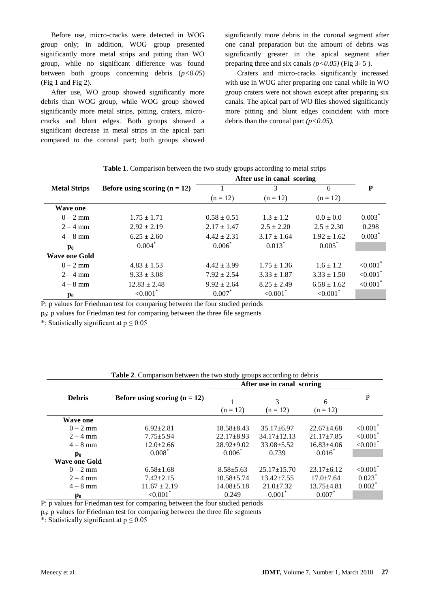Before use, micro-cracks were detected in WOG group only; in addition, WOG group presented significantly more metal strips and pitting than WO group, while no significant difference was found between both groups concerning debris (*p<0.05*) (Fig 1 and Fig 2).

After use, WO group showed significantly more debris than WOG group, while WOG group showed significantly more metal strips, pitting, craters, microcracks and blunt edges. Both groups showed a significant decrease in metal strips in the apical part compared to the coronal part; both groups showed significantly more debris in the coronal segment after one canal preparation but the amount of debris was significantly greater in the apical segment after preparing three and six canals  $(p<0.05)$  (Fig 3- 5).

Craters and micro-cracks significantly increased with use in WOG after preparing one canal while in WO group craters were not shown except after preparing six canals. The apical part of WO files showed significantly more pitting and blunt edges coincident with more debris than the coronal part *(p<0.05).*

|                      |                                                                                                                                                                                                     | After use in canal scoring  |                         |                        |                         |
|----------------------|-----------------------------------------------------------------------------------------------------------------------------------------------------------------------------------------------------|-----------------------------|-------------------------|------------------------|-------------------------|
| <b>Metal Strips</b>  | Before using scoring $(n = 12)$                                                                                                                                                                     |                             | 3                       | 6                      | P                       |
|                      |                                                                                                                                                                                                     | $(n = 12)$                  | $(n = 12)$              | $(n = 12)$             |                         |
| Wave one             |                                                                                                                                                                                                     |                             |                         |                        |                         |
| $0 - 2$ mm           | $1.75 \pm 1.71$                                                                                                                                                                                     | $0.58 \pm 0.51$             | $1.3 \pm 1.2$           | $0.0 \pm 0.0$          | $0.003*$                |
| $2 - 4$ mm           | $2.92 \pm 2.19$                                                                                                                                                                                     | $2.17 \pm 1.47$             | $2.5 \pm 2.20$          | $2.5 \pm 2.30$         | 0.298                   |
| $4 - 8$ mm           | $6.25 \pm 2.60$                                                                                                                                                                                     | $4.42 \pm 2.31$             | $3.17 \pm 1.64$         | $1.92 \pm 1.62$        | $0.003^*$               |
| $\mathbf{p}_0$       | $0.004*$                                                                                                                                                                                            | $0.006*$                    | $0.013*$                | $0.005*$               |                         |
| <b>Wave one Gold</b> |                                                                                                                                                                                                     |                             |                         |                        |                         |
| $0 - 2$ mm           | $4.83 \pm 1.53$                                                                                                                                                                                     | $4.42 \pm 3.99$             | $1.75 \pm 1.36$         | $1.6 \pm 1.2$          | ${<}0.001$ <sup>*</sup> |
| $2 - 4$ mm           | $9.33 \pm 3.08$                                                                                                                                                                                     | $7.92 \pm 2.54$             | $3.33 \pm 1.87$         | $3.33 \pm 1.50$        | ${<}0.001$ <sup>*</sup> |
| $4 - 8$ mm           | $12.83 \pm 2.48$                                                                                                                                                                                    | $9.92 \pm 2.64$             | $8.25 \pm 2.49$         | $6.58 \pm 1.62$        | ${<}0.001$ <sup>*</sup> |
| $\mathbf{p}_0$       | ${<}0.001$ <sup>*</sup><br>$\mathbf{1}$ $\mathbf{c}$ $\mathbf{r}$ $\mathbf{1}$ $\mathbf{r}$ $\mathbf{r}$ $\mathbf{r}$ $\mathbf{r}$ $\mathbf{r}$ $\mathbf{r}$ $\mathbf{r}$ $\mathbf{r}$ $\mathbf{r}$ | $0.007^*$<br>$-1$ $-1$ $-1$ | ${<}0.001$ <sup>*</sup> | $< 0.001$ <sup>*</sup> |                         |

**Table 1**. Comparison between the two study groups according to metal strips

P: p values for Friedman test for comparing between the four studied periods

 $p<sub>0</sub>$ : p values for Friedman test for comparing between the three file segments

\*: Statistically significant at  $p \le 0.05$ 

| <b>Table 2.</b> Comparison between the two study groups according to debris<br>After use in canal scoring |                                 |                  |                   |                  |                         |  |
|-----------------------------------------------------------------------------------------------------------|---------------------------------|------------------|-------------------|------------------|-------------------------|--|
|                                                                                                           |                                 |                  |                   |                  |                         |  |
| <b>Debris</b>                                                                                             | Before using scoring $(n = 12)$ |                  | 3                 | 6                | P                       |  |
|                                                                                                           |                                 | $(n = 12)$       | $(n = 12)$        | $(n = 12)$       |                         |  |
| <b>Wave one</b>                                                                                           |                                 |                  |                   |                  |                         |  |
| $0 - 2$ mm                                                                                                | $6.92 \pm 2.81$                 | $18.58 \pm 8.43$ | $35.17 + 6.97$    | $22.67 + 4.68$   | ${<}0.001$ <sup>*</sup> |  |
| $2 - 4$ mm                                                                                                | $7.75 \pm 5.94$                 | $22.17 \pm 8.93$ | $34.17 \pm 12.13$ | $21.17 \pm 7.85$ | $< 0.001$ <sup>*</sup>  |  |
| $4 - 8$ mm                                                                                                | $12.0 \pm 2.66$                 | $28.92 \pm 9.02$ | $33.08 \pm 5.52$  | $16.83{\pm}4.06$ | ${<}0.001$ <sup>*</sup> |  |
| $\mathbf{p}_0$                                                                                            | $0.008*$                        | $0.006^*$        | 0.739             | $0.016^*$        |                         |  |
| <b>Wave one Gold</b>                                                                                      |                                 |                  |                   |                  |                         |  |
| $0 - 2$ mm                                                                                                | $6.58 \pm 1.68$                 | $8.58 \pm 5.63$  | $25.17 \pm 15.70$ | $23.17 \pm 6.12$ | < 0.001                 |  |
| $2 - 4$ mm                                                                                                | $7.42 \pm 2.15$                 | $10.58 + 5.74$   | $13.42 \pm 7.55$  | $17.0 \pm 7.64$  | 0.023                   |  |
| $4 - 8$ mm                                                                                                | $11.67 \pm 2.19$                | $14.08 \pm 5.18$ | $21.0 \pm 7.32$   | $13.75 \pm 4.81$ | $0.002*$                |  |
| $\mathbf{p}_0$                                                                                            | ${<}0.001$ <sup>*</sup>         | 0.249            | $0.001^{\degree}$ | 0.007            |                         |  |

| <b>Table 2.</b> Comparison between the two study groups according to debris |  |
|-----------------------------------------------------------------------------|--|

P: p values for Friedman test for comparing between the four studied periods

 $p_0$ : p values for Friedman test for comparing between the three file segments

\*: Statistically significant at  $p \le 0.05$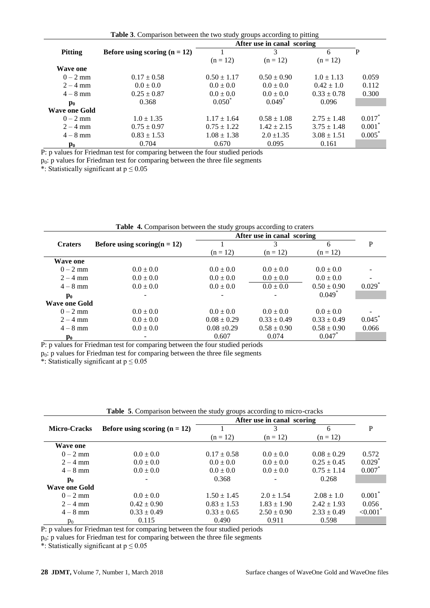| Table 3. Comparison between the two study groups according to pitting |
|-----------------------------------------------------------------------|
|-----------------------------------------------------------------------|

|                 |                                 | After use in canal scoring |                      |                 |             |
|-----------------|---------------------------------|----------------------------|----------------------|-----------------|-------------|
| <b>Pitting</b>  | Before using scoring $(n = 12)$ |                            | 3                    | 6               | P           |
|                 |                                 | $(n = 12)$                 | $(n = 12)$           | $(n = 12)$      |             |
| <b>Wave one</b> |                                 |                            |                      |                 |             |
| $0 - 2$ mm      | $0.17 \pm 0.58$                 | $0.50 \pm 1.17$            | $0.50 \pm 0.90$      | $1.0 \pm 1.13$  | 0.059       |
| $2 - 4$ mm      | $0.0 \pm 0.0$                   | $0.0 \pm 0.0$              | $0.0 \pm 0.0$        | $0.42 \pm 1.0$  | 0.112       |
| $4 - 8$ mm      | $0.25 \pm 0.87$                 | $0.0 \pm 0.0$              | $0.0 \pm 0.0$        | $0.33 \pm 0.78$ | 0.300       |
| $\mathbf{p}_0$  | 0.368                           | $0.050^*$                  | $0.049$ <sup>*</sup> | 0.096           |             |
| Wave one Gold   |                                 |                            |                      |                 |             |
| $0 - 2$ mm      | $1.0 \pm 1.35$                  | $1.17 \pm 1.64$            | $0.58 \pm 1.08$      | $2.75 \pm 1.48$ | $0.017^{n}$ |
| $2 - 4$ mm      | $0.75 \pm 0.97$                 | $0.75 \pm 1.22$            | $1.42 \pm 2.15$      | $3.75 \pm 1.48$ | 0.001       |
| $4 - 8$ mm      | $0.83 \pm 1.53$                 | $1.08 \pm 1.38$            | $2.0 \pm 1.35$       | $3.08 \pm 1.51$ | $0.005^*$   |
| $\mathbf{p}_0$  | 0.704                           | 0.670                      | 0.095                | 0.161           |             |

P: p values for Friedman test for comparing between the four studied periods

 $p_0$ : p values for Friedman test for comparing between the three file segments

\*: Statistically significant at  $p \le 0.05$ 

| <b>Table 4.</b> Comparison between the study groups according to craters |                                 |                            |                 |                      |                          |  |
|--------------------------------------------------------------------------|---------------------------------|----------------------------|-----------------|----------------------|--------------------------|--|
|                                                                          |                                 | After use in canal scoring |                 |                      |                          |  |
| <b>Craters</b>                                                           | Before using scoring $(n = 12)$ |                            | 3               | 6                    | P                        |  |
|                                                                          |                                 | $(n = 12)$                 | $(n = 12)$      | $(n = 12)$           |                          |  |
| <b>Wave one</b>                                                          |                                 |                            |                 |                      |                          |  |
| $0 - 2$ mm                                                               | $0.0 \pm 0.0$                   | $0.0 \pm 0.0$              | $0.0 \pm 0.0$   | $0.0 \pm 0.0$        |                          |  |
| $2 - 4$ mm                                                               | $0.0 \pm 0.0$                   | $0.0 \pm 0.0$              | $0.0 \pm 0.0$   | $0.0 \pm 0.0$        | $\overline{\phantom{0}}$ |  |
| $4 - 8$ mm                                                               | $0.0 \pm 0.0$                   | $0.0 \pm 0.0$              | $0.0 \pm 0.0$   | $0.50 \pm 0.90$      | $0.029$ <sup>*</sup>     |  |
| $\mathbf{p}_0$                                                           |                                 |                            |                 | $0.049$ <sup>*</sup> |                          |  |
| <b>Wave one Gold</b>                                                     |                                 |                            |                 |                      |                          |  |
| $0 - 2$ mm                                                               | $0.0 \pm 0.0$                   | $0.0 \pm 0.0$              | $0.0 \pm 0.0$   | $0.0 \pm 0.0$        |                          |  |
| $2 - 4$ mm                                                               | $0.0 \pm 0.0$                   | $0.08 \pm 0.29$            | $0.33 \pm 0.49$ | $0.33 \pm 0.49$      | 0.045                    |  |
| $4 - 8$ mm                                                               | $0.0 \pm 0.0$                   | $0.08 \pm 0.29$            | $0.58 \pm 0.90$ | $0.58 \pm 0.90$      | 0.066                    |  |
| $\mathbf{p}_0$                                                           |                                 | 0.607                      | 0.074           | 0.047                |                          |  |

P: p values for Friedman test for comparing between the four studied periods

p0: p values for Friedman test for comparing between the three file segments

\*: Statistically significant at  $p \le 0.05$ 

|                      | After use in canal scoring      |                 |                          |                 |                      |
|----------------------|---------------------------------|-----------------|--------------------------|-----------------|----------------------|
| <b>Micro-Cracks</b>  | Before using scoring $(n = 12)$ |                 | 3                        | 6               | P                    |
|                      |                                 | $(n = 12)$      | $(n = 12)$               | $(n = 12)$      |                      |
| Wave one             |                                 |                 |                          |                 |                      |
| $0 - 2$ mm           | $0.0 \pm 0.0$                   | $0.17 \pm 0.58$ | $0.0 \pm 0.0$            | $0.08 \pm 0.29$ | 0.572                |
| $2 - 4$ mm           | $0.0 \pm 0.0$                   | $0.0 \pm 0.0$   | $0.0 \pm 0.0$            | $0.25 \pm 0.45$ | $0.029$ <sup>*</sup> |
| $4 - 8$ mm           | $0.0 \pm 0.0$                   | $0.0 \pm 0.0$   | $0.0 \pm 0.0$            | $0.75 \pm 1.14$ | 0.007                |
| $\mathbf{p}_0$       |                                 | 0.368           | $\overline{\phantom{a}}$ | 0.268           |                      |
| <b>Wave one Gold</b> |                                 |                 |                          |                 |                      |
| $0 - 2$ mm           | $0.0 \pm 0.0$                   | $1.50 \pm 1.45$ | $2.0 \pm 1.54$           | $2.08 \pm 1.0$  | $0.001*$             |
| $2 - 4$ mm           | $0.42 \pm 0.90$                 | $0.83 \pm 1.53$ | $1.83 \pm 1.90$          | $2.42 \pm 1.93$ | 0.056                |
| $4 - 8$ mm           | $0.33 \pm 0.49$                 | $0.33 \pm 0.65$ | $2.50 \pm 0.90$          | $2.33 \pm 0.49$ | < 0.001              |
| $p_0$                | 0.115                           | 0.490           | 0.911                    | 0.598           |                      |

**Table 5**. Comparison between the study groups according to micro-cracks

P: p values for Friedman test for comparing between the four studied periods

p0: p values for Friedman test for comparing between the three file segments

\*: Statistically significant at  $p \le 0.05$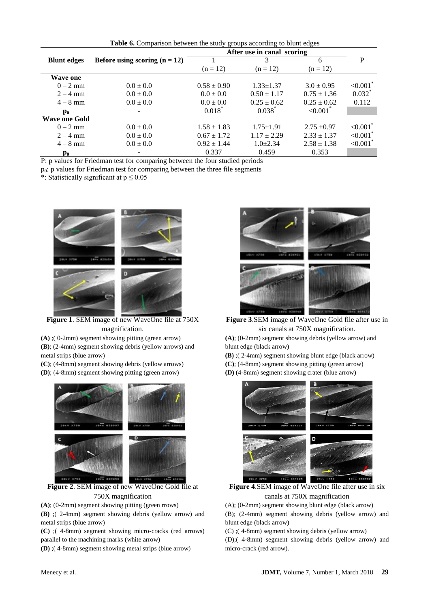**Table 6.** Comparison between the study groups according to blunt edges

| After use in canal scoring |                                 |                 |                 |                         |                        |
|----------------------------|---------------------------------|-----------------|-----------------|-------------------------|------------------------|
| <b>Blunt edges</b>         | Before using scoring $(n = 12)$ |                 |                 | 6                       | P                      |
|                            |                                 | $(n = 12)$      | $(n = 12)$      | $(n = 12)$              |                        |
| <b>Wave one</b>            |                                 |                 |                 |                         |                        |
| $0 - 2$ mm                 | $0.0 \pm 0.0$                   | $0.58 \pm 0.90$ | $1.33 \pm 1.37$ | $3.0 \pm 0.95$          | $\leq 0.001$           |
| $2 - 4$ mm                 | $0.0 \pm 0.0$                   | $0.0 \pm 0.0$   | $0.50 \pm 1.17$ | $0.75 \pm 1.36$         | $0.032$ <sup>*</sup>   |
| $4 - 8$ mm                 | $0.0 \pm 0.0$                   | $0.0 \pm 0.0$   | $0.25 \pm 0.62$ | $0.25 \pm 0.62$         | 0.112                  |
| $\mathbf{p}_0$             |                                 | $0.018^*$       | $0.038*$        | ${<}0.001$ <sup>*</sup> |                        |
| <b>Wave one Gold</b>       |                                 |                 |                 |                         |                        |
| $0 - 2$ mm                 | $0.0 \pm 0.0$                   | $1.58 \pm 1.83$ | $1.75 \pm 1.91$ | $2.75 \pm 0.97$         | $< 0.001$ <sup>*</sup> |
| $2 - 4$ mm                 | $0.0 \pm 0.0$                   | $0.67 \pm 1.72$ | $1.17 \pm 2.29$ | $2.33 \pm 1.37$         | < 0.001                |
| $4 - 8$ mm                 | $0.0 \pm 0.0$                   | $0.92 \pm 1.44$ | $1.0 \pm 2.34$  | $2.58 \pm 1.38$         | $\leq 0.001$           |
| $\mathbf{p}_0$             |                                 | 0.337           | 0.459           | 0.353                   |                        |

P: p values for Friedman test for comparing between the four studied periods

 $p_0$ : p values for Friedman test for comparing between the three file segments

\*: Statistically significant at  $p \le 0.05$ 



**Figure 1**. SEM image of new WaveOne file at 750X magnification.

**(A)** ;( 0-2mm) segment showing pitting (green arrow)

**(B)**; (2-4mm) segment showing debris (yellow arrows) and metal strips (blue arrow)

**(C)**; (4-8mm) segment showing debris (yellow arrows)

**(D)**; (4-8mm) segment showing pitting (green arrow)



**Figure 2**. SEM image of new WaveOne Gold file at 750X magnification

**(A)**; (0-2mm) segment showing pitting (green rrows)

**(B)** ;( 2-4mm) segment showing debris (yellow arrow) and metal strips (blue arrow)

**(C)** ;( 4-8mm) segment showing micro-cracks (red arrows) parallel to the machining marks (white arrow)

**(D)** ;( 4-8mm) segment showing metal strips (blue arrow)



**Figure 3**.SEM image of WaveOne Gold file after use in six canals at 750X magnification.

**(A)**; (0-2mm) segment showing debris (yellow arrow) and blunt edge (black arrow)

**(B)** ;( 2-4mm) segment showing blunt edge (black arrow) **(C)**; (4-8mm) segment showing pitting (green arrow) **(D)** (4-8mm) segment showing crater (blue arrow)



**Figure 4**.SEM image of WaveOne file after use in six canals at 750X magnification

(A); (0-2mm) segment showing blunt edge (black arrow)

(B); (2-4mm) segment showing debris (yellow arrow) and blunt edge (black arrow)

(C) ;( 4-8mm) segment showing debris (yellow arrow) (D);( 4-8mm) segment showing debris (yellow arrow) and

micro-crack (red arrow).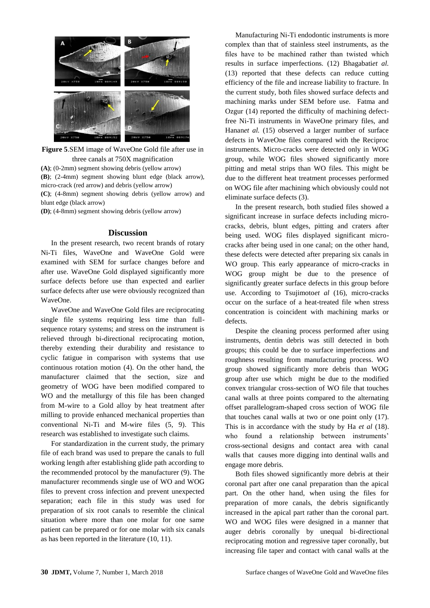

**Figure 5**.SEM image of WaveOne Gold file after use in three canals at 750X magnification **(A)**; (0-2mm) segment showing debris (yellow arrow) **(B)**; (2-4mm) segment showing blunt edge (black arrow), micro-crack (red arrow) and debris (yellow arrow) **(C)**; (4-8mm) segment showing debris (yellow arrow) and

blunt edge (black arrow)

**(D)**; (4-8mm) segment showing debris (yellow arrow)

#### **Discussion**

In the present research, two recent brands of rotary Ni-Ti files, WaveOne and WaveOne Gold were examined with SEM for surface changes before and after use. WaveOne Gold displayed significantly more surface defects before use than expected and earlier surface defects after use were obviously recognized than WaveOne.

WaveOne and WaveOne Gold files are reciprocating single file systems requiring less time than fullsequence rotary systems; and stress on the instrument is relieved through bi-directional reciprocating motion, thereby extending their durability and resistance to cyclic fatigue in comparison with systems that use continuous rotation motion (4). On the other hand, the manufacturer claimed that the section, size and geometry of WOG have been modified compared to WO and the metallurgy of this file has been changed from M-wire to a Gold alloy by heat treatment after milling to provide enhanced mechanical properties than conventional Ni-Ti and M-wire files (5, 9). This research was established to investigate such claims.

For standardization in the current study, the primary file of each brand was used to prepare the canals to full working length after establishing glide path according to the recommended protocol by the manufacturer (9). The manufacturer recommends single use of WO and WOG files to prevent cross infection and prevent unexpected separation; each file in this study was used for preparation of six root canals to resemble the clinical situation where more than one molar for one same patient can be prepared or for one molar with six canals as has been reported in the literature (10, 11).

Manufacturing Ni-Ti endodontic instruments is more complex than that of stainless steel instruments, as the files have to be machined rather than twisted which results in surface imperfections. (12) Bhagabati*et al.*  (13) reported that these defects can reduce cutting efficiency of the file and increase liability to fracture. In the current study, both files showed surface defects and machining marks under SEM before use. Fatma and Ozgur (14) reported the difficulty of machining defectfree Ni-Ti instruments in WaveOne primary files, and Hanan*et al.* (15) observed a larger number of surface defects in WaveOne files compared with the Reciproc instruments. Micro-cracks were detected only in WOG group, while WOG files showed significantly more pitting and metal strips than WO files. This might be due to the different heat treatment processes performed on WOG file after machining which obviously could not eliminate surface defects (3).

In the present research, both studied files showed a significant increase in surface defects including microcracks, debris, blunt edges, pitting and craters after being used. WOG files displayed significant microcracks after being used in one canal; on the other hand, these defects were detected after preparing six canals in WO group. This early appearance of micro-cracks in WOG group might be due to the presence of significantly greater surface defects in this group before use. According to Tsujimoto*et al* (16), micro-cracks occur on the surface of a heat-treated file when stress concentration is coincident with machining marks or defects.

Despite the cleaning process performed after using instruments, dentin debris was still detected in both groups; this could be due to surface imperfections and roughness resulting from manufacturing process. WO group showed significantly more debris than WOG group after use which might be due to the modified convex triangular cross-section of WO file that touches canal walls at three points compared to the alternating offset parallelogram-shaped cross section of WOG file that touches canal walls at two or one point only (17). This is in accordance with the study by Ha *et al* (18). who found a relationship between instruments' cross-sectional designs and contact area with canal walls that causes more digging into dentinal walls and engage more debris.

Both files showed significantly more debris at their coronal part after one canal preparation than the apical part. On the other hand, when using the files for preparation of more canals, the debris significantly increased in the apical part rather than the coronal part. WO and WOG files were designed in a manner that auger debris coronally by unequal bi-directional reciprocating motion and regressive taper coronally, but increasing file taper and contact with canal walls at the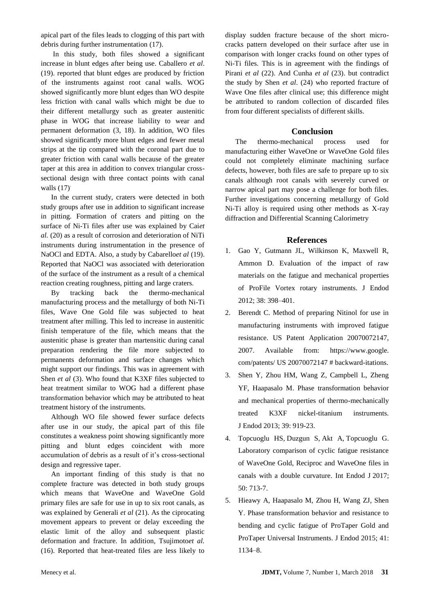apical part of the files leads to clogging of this part with debris during further instrumentation (17).

In this study, both files showed a significant increase in blunt edges after being use. Caballero *et al*. (19). reported that blunt edges are produced by friction of the instruments against root canal walls. WOG showed significantly more blunt edges than WO despite less friction with canal walls which might be due to their different metallurgy such as greater austenitic phase in WOG that increase liability to wear and permanent deformation (3, 18). In addition, WO files showed significantly more blunt edges and fewer metal strips at the tip compared with the coronal part due to greater friction with canal walls because of the greater taper at this area in addition to convex triangular crosssectional design with three contact points with canal walls  $(17)$ <sup>.</sup>

In the current study, craters were detected in both study groups after use in addition to significant increase in pitting. Formation of craters and pitting on the surface of Ni-Ti files after use was explained by Cai*et al.* (20) as a result of corrosion and deterioration of NiTi instruments during instrumentation in the presence of NaOCl and EDTA. Also, a study by Cabarello*et al* (19). Reported that NaOCl was associated with deterioration of the surface of the instrument as a result of a chemical reaction creating roughness, pitting and large craters.

By tracking back the thermo-mechanical manufacturing process and the metallurgy of both Ni-Ti files, Wave One Gold file was subjected to heat treatment after milling. This led to increase in austenitic finish temperature of the file, which means that the austenitic phase is greater than martensitic during canal preparation rendering the file more subjected to permanents deformation and surface changes which might support our findings. This was in agreement with Shen *et al* (3). Who found that K3XF files subjected to heat treatment similar to WOG had a different phase transformation behavior which may be attributed to heat treatment history of the instruments.

Although WO file showed fewer surface defects after use in our study, the apical part of this file constitutes a weakness point showing significantly more pitting and blunt edges coincident with more accumulation of debris as a result of it's cross-sectional design and regressive taper.

An important finding of this study is that no complete fracture was detected in both study groups which means that WaveOne and WaveOne Gold primary files are safe for use in up to six root canals, as was explained by Generali *et al* (21). As the ciprocating movement appears to prevent or delay exceeding the elastic limit of the alloy and subsequent plastic deformation and fracture. In addition, Tsujimoto*et al.* (16). Reported that heat-treated files are less likely to display sudden fracture because of the short microcracks pattern developed on their surface after use in comparison with longer cracks found on other types of Ni-Ti files. This is in agreement with the findings of Pirani *et al* (22). And Cunha *et al* (23). but contradict the study by Shen *et al*. (24) who reported fracture of Wave One files after clinical use; this difference might be attributed to random collection of discarded files from four different specialists of different skills.

# **Conclusion**

The thermo-mechanical process used for manufacturing either WaveOne or WaveOne Gold files could not completely eliminate machining surface defects, however, both files are safe to prepare up to six canals although root canals with severely curved or narrow apical part may pose a challenge for both files. Further investigations concerning metallurgy of Gold Ni-Ti alloy is required using other methods as X-ray diffraction and Differential Scanning Calorimetry

# **References**

- 1. Gao Y, Gutmann JL, Wilkinson K, Maxwell R, Ammon D. Evaluation of the impact of raw materials on the fatigue and mechanical properties of ProFile Vortex rotary instruments. J Endod 2012; 38: 398–401.
- 2. Berendt C. Method of preparing Nitinol for use in manufacturing instruments with improved fatigue resistance. US Patent Application 20070072147, 2007. Available from: https://www.google. com/patents/ US 20070072147 # backward-itations.
- 3. Shen Y, Zhou HM, Wang Z, Campbell L, Zheng YF, Haapasalo M. Phase transformation behavior and mechanical properties of thermo-mechanically treated K3XF nickel-titanium instruments. [J Endod](https://www.ncbi.nlm.nih.gov/pubmed/?term=Phase+Transformation+Behavior+and+Mechanical+Properties+of+Thermomechanically+Treated+K3XF+Nickel-Titanium+Instruments) 2013; 39: 919-23.
- 4. [Topcuoglu HS,](https://www.ncbi.nlm.nih.gov/pubmed/?term=Top%C3%A7uo%C4%9Flu%20HS%5BAuthor%5D&cauthor=true&cauthor_uid=27344032) [Duzgun S,](https://www.ncbi.nlm.nih.gov/pubmed/?term=D%C3%BCzg%C3%BCn%20S%5BAuthor%5D&cauthor=true&cauthor_uid=27344032) [Akt A,](https://www.ncbi.nlm.nih.gov/pubmed/?term=Akt%C4%B1%20A%5BAuthor%5D&cauthor=true&cauthor_uid=27344032) [Topcuoglu](https://www.ncbi.nlm.nih.gov/pubmed/?term=Top%C3%A7uo%C4%9Flu%20G%5BAuthor%5D&cauthor=true&cauthor_uid=27344032) G. Laboratory comparison of cyclic fatigue resistance of WaveOne Gold, Reciproc and WaveOne files in canals with a double curvature. Int [Endod J](https://www.ncbi.nlm.nih.gov/pubmed/?term=Laboratory+comparison+of+cyclic+fatigue+resistance+of+WaveOne+Gold%2C+Reciproc+and+WaveOne+files+in+canals+with+a+double+curvature+H.+S.+Topc%01uo%01glu) 2017; 50: 713-7.
- 5. Hieawy A, Haapasalo M, Zhou H, Wang ZJ, Shen Y. Phase transformation behavior and resistance to bending and cyclic fatigue of ProTaper Gold and ProTaper Universal Instruments. J Endod 2015; 41: 1134–8.